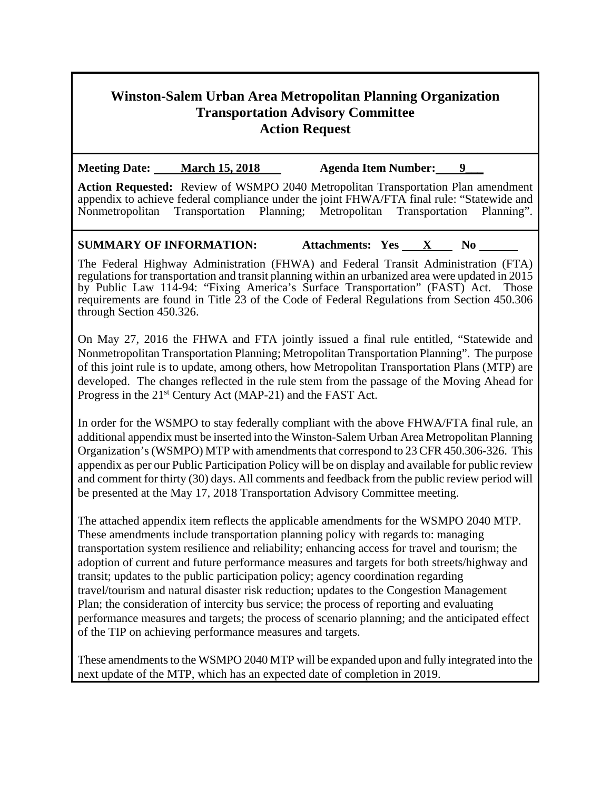# **Winston-Salem Urban Area Metropolitan Planning Organization Transportation Advisory Committee Action Request**

**Meeting Date:** March 15, 2018 Agenda Item Number: 9

**Action Requested:** Review of WSMPO 2040 Metropolitan Transportation Plan amendment appendix to achieve federal compliance under the joint FHWA/FTA final rule: "Statewide and Nonmetropolitan Transportation Planning; Metropolitan Transportation Planning".

# **SUMMARY OF INFORMATION:** Attachments: Yes X No

The Federal Highway Administration (FHWA) and Federal Transit Administration (FTA) regulations for transportation and transit planning within an urbanized area were updated in 2015 by Public Law 114-94: "Fixing America's Surface Transportation" (FAST) Act. Those requirements are found in Title  $\tilde{2}3$  of the Code of Federal Regulations from Section 450.306 through Section 450.326.

On May 27, 2016 the FHWA and FTA jointly issued a final rule entitled, "Statewide and Nonmetropolitan Transportation Planning; Metropolitan Transportation Planning". The purpose of this joint rule is to update, among others, how Metropolitan Transportation Plans (MTP) are developed. The changes reflected in the rule stem from the passage of the Moving Ahead for Progress in the 21<sup>st</sup> Century Act (MAP-21) and the FAST Act.

In order for the WSMPO to stay federally compliant with the above FHWA/FTA final rule, an additional appendix must be inserted into the Winston-Salem Urban Area Metropolitan Planning Organization's (WSMPO) MTP with amendments that correspond to 23 CFR 450.306-326. This appendix as per our Public Participation Policy will be on display and available for public review and comment for thirty (30) days. All comments and feedback from the public review period will be presented at the May 17, 2018 Transportation Advisory Committee meeting.

The attached appendix item reflects the applicable amendments for the WSMPO 2040 MTP. These amendments include transportation planning policy with regards to: managing transportation system resilience and reliability; enhancing access for travel and tourism; the adoption of current and future performance measures and targets for both streets/highway and transit; updates to the public participation policy; agency coordination regarding travel/tourism and natural disaster risk reduction; updates to the Congestion Management Plan; the consideration of intercity bus service; the process of reporting and evaluating performance measures and targets; the process of scenario planning; and the anticipated effect of the TIP on achieving performance measures and targets.

These amendments to the WSMPO 2040 MTP will be expanded upon and fully integrated into the next update of the MTP, which has an expected date of completion in 2019.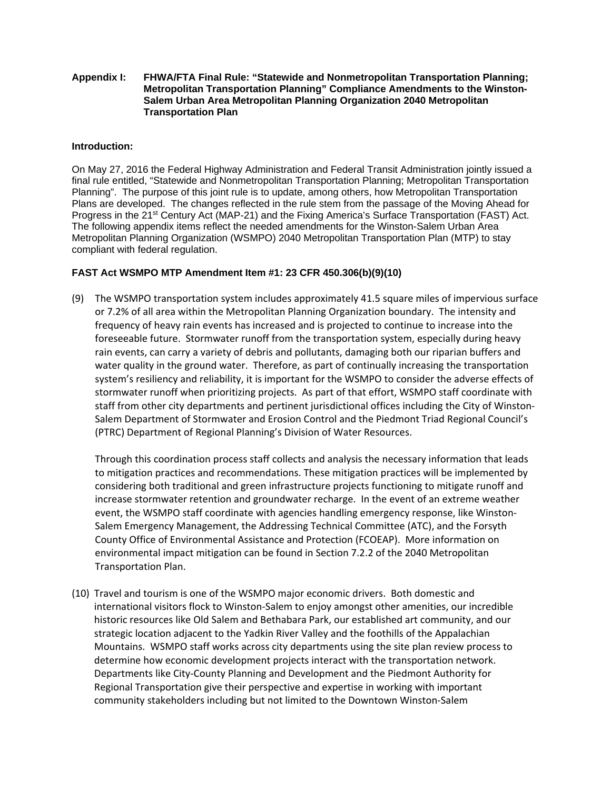#### **Appendix I: FHWA/FTA Final Rule: "Statewide and Nonmetropolitan Transportation Planning; Metropolitan Transportation Planning" Compliance Amendments to the Winston-Salem Urban Area Metropolitan Planning Organization 2040 Metropolitan Transportation Plan**

#### **Introduction:**

On May 27, 2016 the Federal Highway Administration and Federal Transit Administration jointly issued a final rule entitled, "Statewide and Nonmetropolitan Transportation Planning; Metropolitan Transportation Planning". The purpose of this joint rule is to update, among others, how Metropolitan Transportation Plans are developed. The changes reflected in the rule stem from the passage of the Moving Ahead for Progress in the 21<sup>st</sup> Century Act (MAP-21) and the Fixing America's Surface Transportation (FAST) Act. The following appendix items reflect the needed amendments for the Winston-Salem Urban Area Metropolitan Planning Organization (WSMPO) 2040 Metropolitan Transportation Plan (MTP) to stay compliant with federal regulation.

#### **FAST Act WSMPO MTP Amendment Item #1: 23 CFR 450.306(b)(9)(10)**

(9) The WSMPO transportation system includes approximately 41.5 square miles of impervious surface or 7.2% of all area within the Metropolitan Planning Organization boundary. The intensity and frequency of heavy rain events has increased and is projected to continue to increase into the foreseeable future. Stormwater runoff from the transportation system, especially during heavy rain events, can carry a variety of debris and pollutants, damaging both our riparian buffers and water quality in the ground water. Therefore, as part of continually increasing the transportation system's resiliency and reliability, it is important for the WSMPO to consider the adverse effects of stormwater runoff when prioritizing projects. As part of that effort, WSMPO staff coordinate with staff from other city departments and pertinent jurisdictional offices including the City of Winston‐ Salem Department of Stormwater and Erosion Control and the Piedmont Triad Regional Council's (PTRC) Department of Regional Planning's Division of Water Resources.

Through this coordination process staff collects and analysis the necessary information that leads to mitigation practices and recommendations. These mitigation practices will be implemented by considering both traditional and green infrastructure projects functioning to mitigate runoff and increase stormwater retention and groundwater recharge. In the event of an extreme weather event, the WSMPO staff coordinate with agencies handling emergency response, like Winston‐ Salem Emergency Management, the Addressing Technical Committee (ATC), and the Forsyth County Office of Environmental Assistance and Protection (FCOEAP). More information on environmental impact mitigation can be found in Section 7.2.2 of the 2040 Metropolitan Transportation Plan.

(10) Travel and tourism is one of the WSMPO major economic drivers. Both domestic and international visitors flock to Winston‐Salem to enjoy amongst other amenities, our incredible historic resources like Old Salem and Bethabara Park, our established art community, and our strategic location adjacent to the Yadkin River Valley and the foothills of the Appalachian Mountains. WSMPO staff works across city departments using the site plan review process to determine how economic development projects interact with the transportation network. Departments like City‐County Planning and Development and the Piedmont Authority for Regional Transportation give their perspective and expertise in working with important community stakeholders including but not limited to the Downtown Winston‐Salem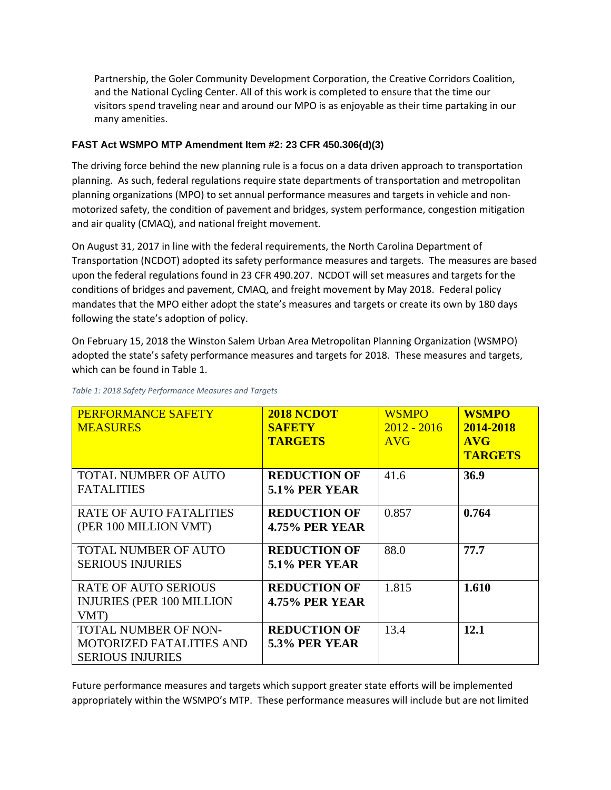Partnership, the Goler Community Development Corporation, the Creative Corridors Coalition, and the National Cycling Center. All of this work is completed to ensure that the time our visitors spend traveling near and around our MPO is as enjoyable as their time partaking in our many amenities.

### **FAST Act WSMPO MTP Amendment Item #2: 23 CFR 450.306(d)(3)**

The driving force behind the new planning rule is a focus on a data driven approach to transportation planning. As such, federal regulations require state departments of transportation and metropolitan planning organizations (MPO) to set annual performance measures and targets in vehicle and non‐ motorized safety, the condition of pavement and bridges, system performance, congestion mitigation and air quality (CMAQ), and national freight movement.

On August 31, 2017 in line with the federal requirements, the North Carolina Department of Transportation (NCDOT) adopted its safety performance measures and targets. The measures are based upon the federal regulations found in 23 CFR 490.207. NCDOT will set measures and targets for the conditions of bridges and pavement, CMAQ, and freight movement by May 2018. Federal policy mandates that the MPO either adopt the state's measures and targets or create its own by 180 days following the state's adoption of policy.

On February 15, 2018 the Winston Salem Urban Area Metropolitan Planning Organization (WSMPO) adopted the state's safety performance measures and targets for 2018. These measures and targets, which can be found in Table 1.

| <b>PERFORMANCE SAFETY</b><br><b>MEASURES</b>                                              | 2018 NCDOT<br><b>SAFETY</b><br><b>TARGETS</b> | <b>WSMPO</b><br>$2012 - 2016$<br><b>AVG</b> | <b>WSMPO</b><br>2014-2018<br>AVG<br><b>TARGETS</b> |
|-------------------------------------------------------------------------------------------|-----------------------------------------------|---------------------------------------------|----------------------------------------------------|
| <b>TOTAL NUMBER OF AUTO</b><br><b>FATALITIES</b>                                          | <b>REDUCTION OF</b><br><b>5.1% PER YEAR</b>   | 41.6                                        | 36.9                                               |
| <b>RATE OF AUTO FATALITIES</b><br>(PER 100 MILLION VMT)                                   | <b>REDUCTION OF</b><br><b>4.75% PER YEAR</b>  | 0.857                                       | 0.764                                              |
| <b>TOTAL NUMBER OF AUTO</b><br><b>SERIOUS INJURIES</b>                                    | <b>REDUCTION OF</b><br><b>5.1% PER YEAR</b>   | 88.0                                        | 77.7                                               |
| <b>RATE OF AUTO SERIOUS</b><br><b>INJURIES (PER 100 MILLION</b><br>VMT)                   | <b>REDUCTION OF</b><br><b>4.75% PER YEAR</b>  | 1.815                                       | 1.610                                              |
| <b>TOTAL NUMBER OF NON-</b><br><b>MOTORIZED FATALITIES AND</b><br><b>SERIOUS INJURIES</b> | <b>REDUCTION OF</b><br>5.3% PER YEAR          | 13.4                                        | 12.1                                               |

*Table 1: 2018 Safety Performance Measures and Targets*

Future performance measures and targets which support greater state efforts will be implemented appropriately within the WSMPO's MTP. These performance measures will include but are not limited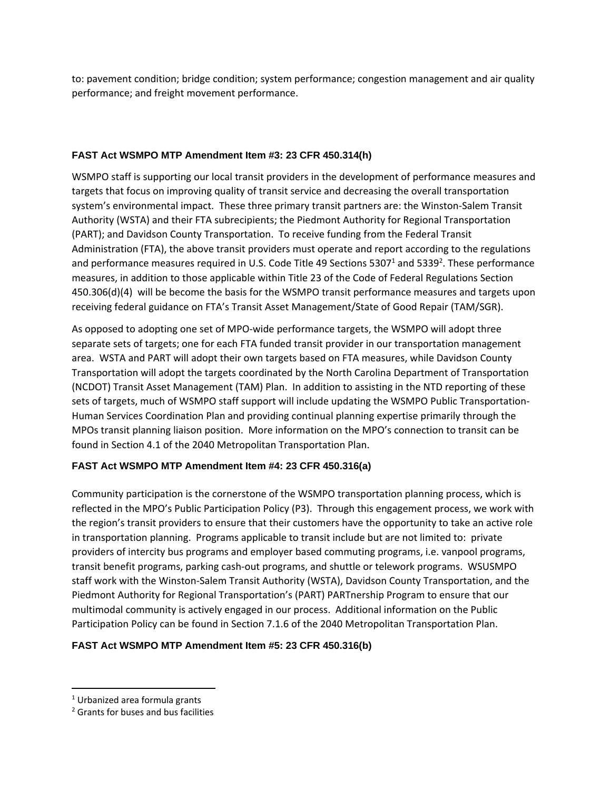to: pavement condition; bridge condition; system performance; congestion management and air quality performance; and freight movement performance.

### **FAST Act WSMPO MTP Amendment Item #3: 23 CFR 450.314(h)**

WSMPO staff is supporting our local transit providers in the development of performance measures and targets that focus on improving quality of transit service and decreasing the overall transportation system's environmental impact. These three primary transit partners are: the Winston‐Salem Transit Authority (WSTA) and their FTA subrecipients; the Piedmont Authority for Regional Transportation (PART); and Davidson County Transportation. To receive funding from the Federal Transit Administration (FTA), the above transit providers must operate and report according to the regulations and performance measures required in U.S. Code Title 49 Sections 5307<sup>1</sup> and 5339<sup>2</sup>. These performance measures, in addition to those applicable within Title 23 of the Code of Federal Regulations Section 450.306(d)(4) will be become the basis for the WSMPO transit performance measures and targets upon receiving federal guidance on FTA's Transit Asset Management/State of Good Repair (TAM/SGR).

As opposed to adopting one set of MPO‐wide performance targets, the WSMPO will adopt three separate sets of targets; one for each FTA funded transit provider in our transportation management area. WSTA and PART will adopt their own targets based on FTA measures, while Davidson County Transportation will adopt the targets coordinated by the North Carolina Department of Transportation (NCDOT) Transit Asset Management (TAM) Plan. In addition to assisting in the NTD reporting of these sets of targets, much of WSMPO staff support will include updating the WSMPO Public Transportation-Human Services Coordination Plan and providing continual planning expertise primarily through the MPOs transit planning liaison position. More information on the MPO's connection to transit can be found in Section 4.1 of the 2040 Metropolitan Transportation Plan.

## **FAST Act WSMPO MTP Amendment Item #4: 23 CFR 450.316(a)**

Community participation is the cornerstone of the WSMPO transportation planning process, which is reflected in the MPO's Public Participation Policy (P3). Through this engagement process, we work with the region's transit providers to ensure that their customers have the opportunity to take an active role in transportation planning. Programs applicable to transit include but are not limited to: private providers of intercity bus programs and employer based commuting programs, i.e. vanpool programs, transit benefit programs, parking cash‐out programs, and shuttle or telework programs. WSUSMPO staff work with the Winston‐Salem Transit Authority (WSTA), Davidson County Transportation, and the Piedmont Authority for Regional Transportation's (PART) PARTnership Program to ensure that our multimodal community is actively engaged in our process. Additional information on the Public Participation Policy can be found in Section 7.1.6 of the 2040 Metropolitan Transportation Plan.

### **FAST Act WSMPO MTP Amendment Item #5: 23 CFR 450.316(b)**

<sup>1</sup> Urbanized area formula grants

<sup>2</sup> Grants for buses and bus facilities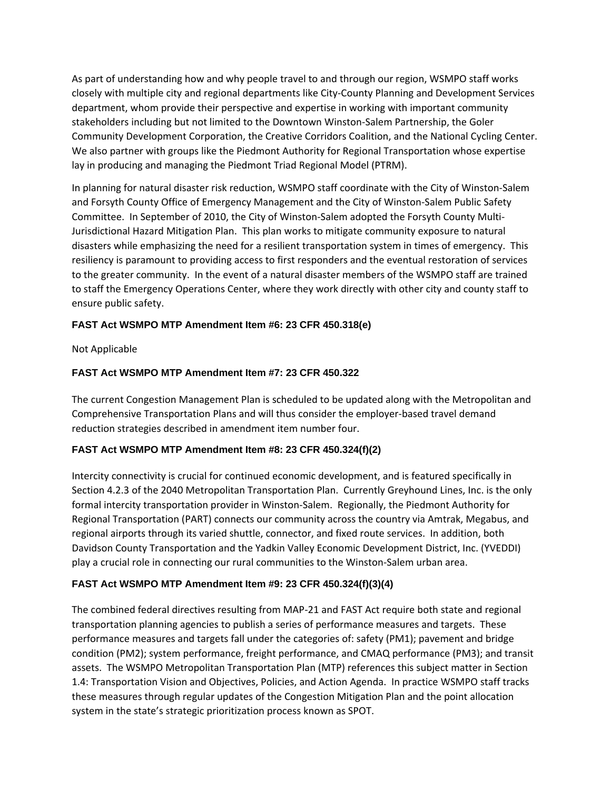As part of understanding how and why people travel to and through our region, WSMPO staff works closely with multiple city and regional departments like City‐County Planning and Development Services department, whom provide their perspective and expertise in working with important community stakeholders including but not limited to the Downtown Winston‐Salem Partnership, the Goler Community Development Corporation, the Creative Corridors Coalition, and the National Cycling Center. We also partner with groups like the Piedmont Authority for Regional Transportation whose expertise lay in producing and managing the Piedmont Triad Regional Model (PTRM).

In planning for natural disaster risk reduction, WSMPO staff coordinate with the City of Winston‐Salem and Forsyth County Office of Emergency Management and the City of Winston‐Salem Public Safety Committee. In September of 2010, the City of Winston‐Salem adopted the Forsyth County Multi‐ Jurisdictional Hazard Mitigation Plan. This plan works to mitigate community exposure to natural disasters while emphasizing the need for a resilient transportation system in times of emergency. This resiliency is paramount to providing access to first responders and the eventual restoration of services to the greater community. In the event of a natural disaster members of the WSMPO staff are trained to staff the Emergency Operations Center, where they work directly with other city and county staff to ensure public safety.

### **FAST Act WSMPO MTP Amendment Item #6: 23 CFR 450.318(e)**

Not Applicable

#### **FAST Act WSMPO MTP Amendment Item #7: 23 CFR 450.322**

The current Congestion Management Plan is scheduled to be updated along with the Metropolitan and Comprehensive Transportation Plans and will thus consider the employer‐based travel demand reduction strategies described in amendment item number four.

### **FAST Act WSMPO MTP Amendment Item #8: 23 CFR 450.324(f)(2)**

Intercity connectivity is crucial for continued economic development, and is featured specifically in Section 4.2.3 of the 2040 Metropolitan Transportation Plan. Currently Greyhound Lines, Inc. is the only formal intercity transportation provider in Winston‐Salem. Regionally, the Piedmont Authority for Regional Transportation (PART) connects our community across the country via Amtrak, Megabus, and regional airports through its varied shuttle, connector, and fixed route services. In addition, both Davidson County Transportation and the Yadkin Valley Economic Development District, Inc. (YVEDDI) play a crucial role in connecting our rural communities to the Winston‐Salem urban area.

### **FAST Act WSMPO MTP Amendment Item #9: 23 CFR 450.324(f)(3)(4)**

The combined federal directives resulting from MAP‐21 and FAST Act require both state and regional transportation planning agencies to publish a series of performance measures and targets. These performance measures and targets fall under the categories of: safety (PM1); pavement and bridge condition (PM2); system performance, freight performance, and CMAQ performance (PM3); and transit assets. The WSMPO Metropolitan Transportation Plan (MTP) references this subject matter in Section 1.4: Transportation Vision and Objectives, Policies, and Action Agenda. In practice WSMPO staff tracks these measures through regular updates of the Congestion Mitigation Plan and the point allocation system in the state's strategic prioritization process known as SPOT.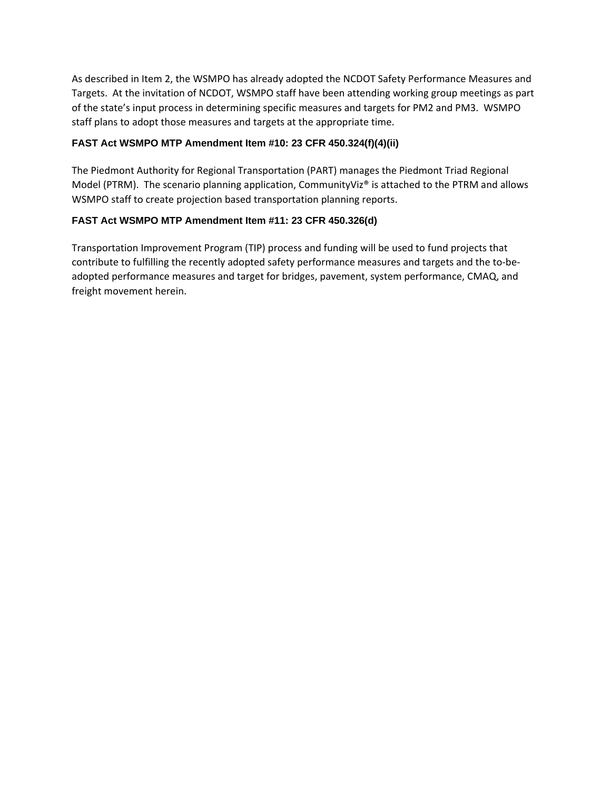As described in Item 2, the WSMPO has already adopted the NCDOT Safety Performance Measures and Targets. At the invitation of NCDOT, WSMPO staff have been attending working group meetings as part of the state's input process in determining specific measures and targets for PM2 and PM3. WSMPO staff plans to adopt those measures and targets at the appropriate time.

#### **FAST Act WSMPO MTP Amendment Item #10: 23 CFR 450.324(f)(4)(ii)**

The Piedmont Authority for Regional Transportation (PART) manages the Piedmont Triad Regional Model (PTRM). The scenario planning application, CommunityViz® is attached to the PTRM and allows WSMPO staff to create projection based transportation planning reports.

#### **FAST Act WSMPO MTP Amendment Item #11: 23 CFR 450.326(d)**

Transportation Improvement Program (TIP) process and funding will be used to fund projects that contribute to fulfilling the recently adopted safety performance measures and targets and the to-beadopted performance measures and target for bridges, pavement, system performance, CMAQ, and freight movement herein.